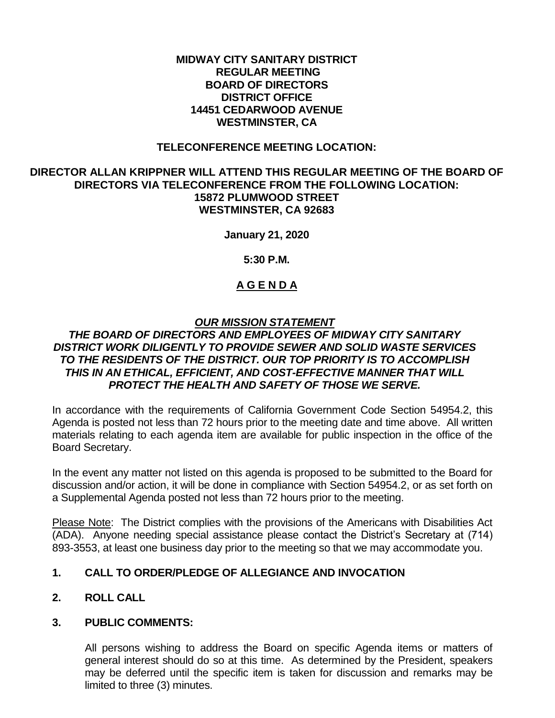### **MIDWAY CITY SANITARY DISTRICT REGULAR MEETING BOARD OF DIRECTORS DISTRICT OFFICE 14451 CEDARWOOD AVENUE WESTMINSTER, CA**

### **TELECONFERENCE MEETING LOCATION:**

### **DIRECTOR ALLAN KRIPPNER WILL ATTEND THIS REGULAR MEETING OF THE BOARD OF DIRECTORS VIA TELECONFERENCE FROM THE FOLLOWING LOCATION: 15872 PLUMWOOD STREET WESTMINSTER, CA 92683**

**January 21, 2020**

**5:30 P.M.**

## **A G E N D A**

## *OUR MISSION STATEMENT*

## *THE BOARD OF DIRECTORS AND EMPLOYEES OF MIDWAY CITY SANITARY DISTRICT WORK DILIGENTLY TO PROVIDE SEWER AND SOLID WASTE SERVICES TO THE RESIDENTS OF THE DISTRICT. OUR TOP PRIORITY IS TO ACCOMPLISH THIS IN AN ETHICAL, EFFICIENT, AND COST-EFFECTIVE MANNER THAT WILL PROTECT THE HEALTH AND SAFETY OF THOSE WE SERVE.*

In accordance with the requirements of California Government Code Section 54954.2, this Agenda is posted not less than 72 hours prior to the meeting date and time above. All written materials relating to each agenda item are available for public inspection in the office of the Board Secretary.

In the event any matter not listed on this agenda is proposed to be submitted to the Board for discussion and/or action, it will be done in compliance with Section 54954.2, or as set forth on a Supplemental Agenda posted not less than 72 hours prior to the meeting.

Please Note: The District complies with the provisions of the Americans with Disabilities Act (ADA). Anyone needing special assistance please contact the District's Secretary at (714) 893-3553, at least one business day prior to the meeting so that we may accommodate you.

## **1. CALL TO ORDER/PLEDGE OF ALLEGIANCE AND INVOCATION**

## **2. ROLL CALL**

## **3. PUBLIC COMMENTS:**

All persons wishing to address the Board on specific Agenda items or matters of general interest should do so at this time. As determined by the President, speakers may be deferred until the specific item is taken for discussion and remarks may be limited to three (3) minutes.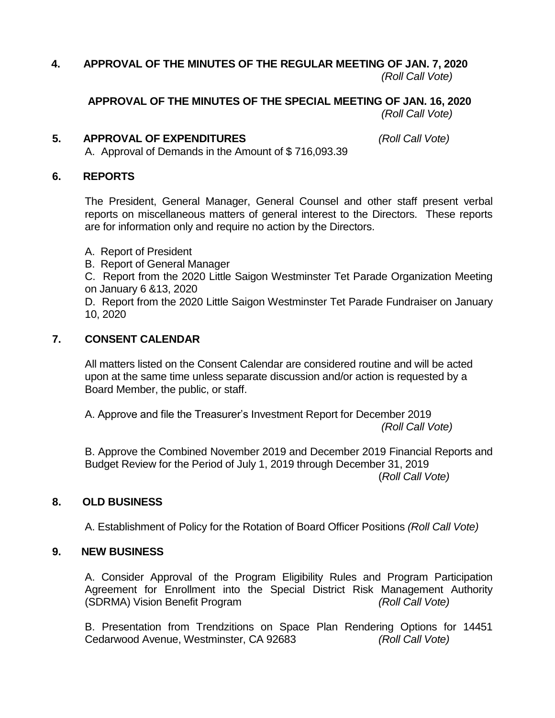## **4. APPROVAL OF THE MINUTES OF THE REGULAR MEETING OF JAN. 7, 2020** *(Roll Call Vote)*

#### **APPROVAL OF THE MINUTES OF THE SPECIAL MEETING OF JAN. 16, 2020**  *(Roll Call Vote)*

## **5. APPROVAL OF EXPENDITURES** *(Roll Call Vote)*

A. Approval of Demands in the Amount of \$ 716,093.39

### **6. REPORTS**

The President, General Manager, General Counsel and other staff present verbal reports on miscellaneous matters of general interest to the Directors. These reports are for information only and require no action by the Directors.

- A. Report of President
- B. Report of General Manager
- C. Report from the 2020 Little Saigon Westminster Tet Parade Organization Meeting on January 6 &13, 2020

D. Report from the 2020 Little Saigon Westminster Tet Parade Fundraiser on January 10, 2020

## **7. CONSENT CALENDAR**

All matters listed on the Consent Calendar are considered routine and will be acted upon at the same time unless separate discussion and/or action is requested by a Board Member, the public, or staff.

A. Approve and file the Treasurer's Investment Report for December 2019 *(Roll Call Vote)*

B. Approve the Combined November 2019 and December 2019 Financial Reports and Budget Review for the Period of July 1, 2019 through December 31, 2019 (*Roll Call Vote)*

## **8. OLD BUSINESS**

A. Establishment of Policy for the Rotation of Board Officer Positions *(Roll Call Vote)*

## **9. NEW BUSINESS**

A. Consider Approval of the Program Eligibility Rules and Program Participation Agreement for Enrollment into the Special District Risk Management Authority (SDRMA) Vision Benefit Program *(Roll Call Vote)*

B. Presentation from Trendzitions on Space Plan Rendering Options for 14451 Cedarwood Avenue, Westminster, CA 92683 *(Roll Call Vote)*